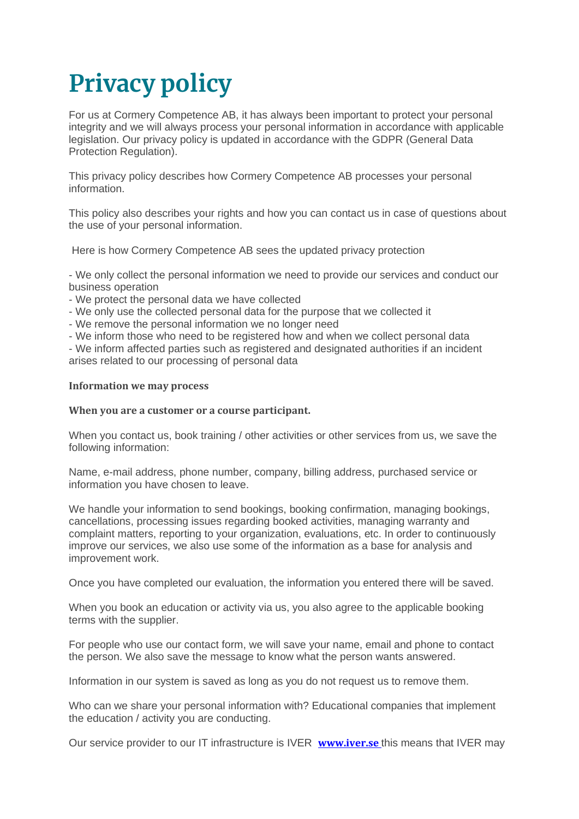# **Privacy policy**

For us at Cormery Competence AB, it has always been important to protect your personal integrity and we will always process your personal information in accordance with applicable legislation. Our privacy policy is updated in accordance with the GDPR (General Data Protection Regulation).

This privacy policy describes how Cormery Competence AB processes your personal information.

This policy also describes your rights and how you can contact us in case of questions about the use of your personal information.

Here is how Cormery Competence AB sees the updated privacy protection

- We only collect the personal information we need to provide our services and conduct our business operation

- We protect the personal data we have collected
- We only use the collected personal data for the purpose that we collected it
- We remove the personal information we no longer need

- We inform those who need to be registered how and when we collect personal data

- We inform affected parties such as registered and designated authorities if an incident arises related to our processing of personal data

#### **Information we may process**

#### **When you are a customer or a course participant.**

When you contact us, book training / other activities or other services from us, we save the following information:

Name, e-mail address, phone number, company, billing address, purchased service or information you have chosen to leave.

We handle your information to send bookings, booking confirmation, managing bookings, cancellations, processing issues regarding booked activities, managing warranty and complaint matters, reporting to your organization, evaluations, etc. In order to continuously improve our services, we also use some of the information as a base for analysis and improvement work.

Once you have completed our evaluation, the information you entered there will be saved.

When you book an education or activity via us, you also agree to the applicable booking terms with the supplier.

For people who use our contact form, we will save your name, email and phone to contact the person. We also save the message to know what the person wants answered.

Information in our system is saved as long as you do not request us to remove them.

Who can we share your personal information with? Educational companies that implement the education / activity you are conducting.

Our service provider to our IT infrastructure is IVER **[www.iver.se](http://www.iver.se )** this means that IVER may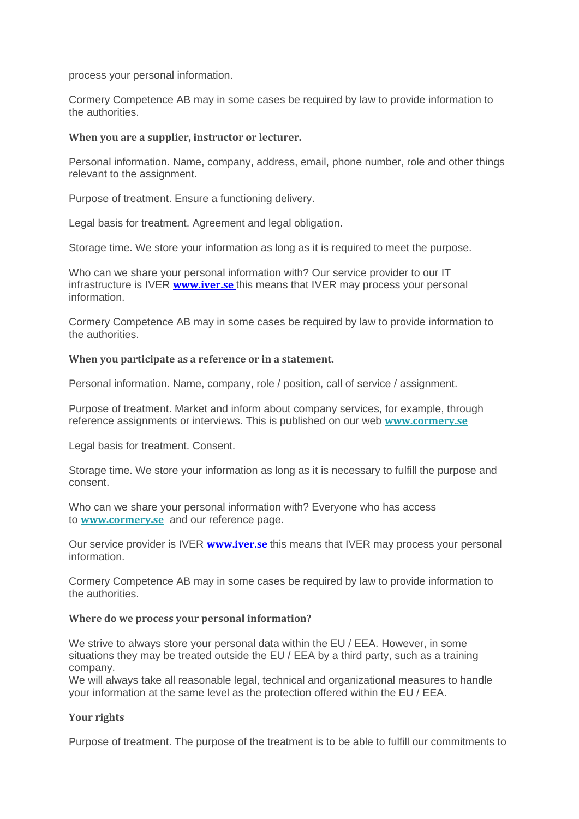process your personal information.

Cormery Competence AB may in some cases be required by law to provide information to the authorities.

## **When you are a supplier, instructor or lecturer.**

Personal information. Name, company, address, email, phone number, role and other things relevant to the assignment.

Purpose of treatment. Ensure a functioning delivery.

Legal basis for treatment. Agreement and legal obligation.

Storage time. We store your information as long as it is required to meet the purpose.

Who can we share your personal information with? Our service provider to our IT infrastructure is IVER **[www.iver.se](http://www.iver.se )** this means that IVER may process your personal information.

Cormery Competence AB may in some cases be required by law to provide information to the authorities.

## **When you participate as a reference or in a statement.**

Personal information. Name, company, role / position, call of service / assignment.

Purpose of treatment. Market and inform about company services, for example, through reference assignments or interviews. This is published on our web **[www.cormery.se](https://www.cormery.se/hem-en.html)**

Legal basis for treatment. Consent.

Storage time. We store your information as long as it is necessary to fulfill the purpose and consent.

Who can we share your personal information with? Everyone who has access to **[www.cormery.se](https://www.cormery.se/hem-en.html)** and our reference page.

Our service provider is IVER **[www.iver.se](http://www.iver.se )** this means that IVER may process your personal information.

Cormery Competence AB may in some cases be required by law to provide information to the authorities.

#### **Where do we process your personal information?**

We strive to always store your personal data within the EU / EEA. However, in some situations they may be treated outside the EU / EEA by a third party, such as a training company.

We will always take all reasonable legal, technical and organizational measures to handle your information at the same level as the protection offered within the EU / EEA.

## **Your rights**

Purpose of treatment. The purpose of the treatment is to be able to fulfill our commitments to